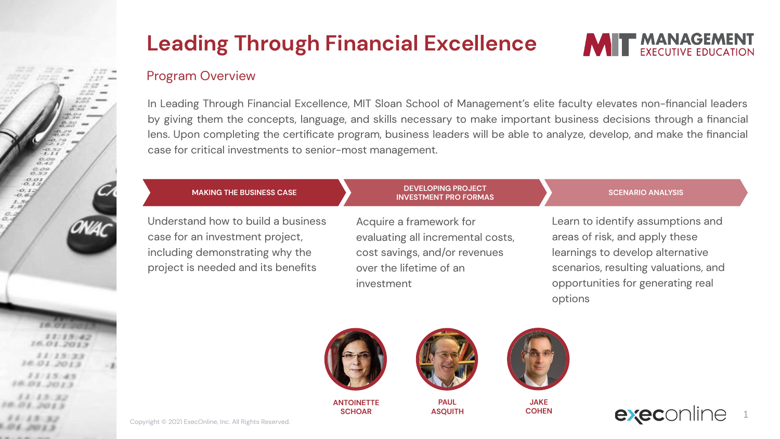### Program Overview

In Leading Through Financial Excellence, MIT Sloan School of Management's elite faculty elevates non-financial leaders by giving them the concepts, language, and skills necessary to make important business decisions through a financial lens. Upon completing the certificate program, business leaders will be able to analyze, develop, and make the financial case for critical investments to senior-most management.

> **DEVELOPING PROJECT INVESTMENT PRO FORMAS**



 $0.09$  $62 - 9$  $0.01$ 

 $1.5 - 2.3$ 

case for an investment project, including demonstrating why the project is needed and its benefits Acquire a framework for evaluating all incremental costs, cost savings, and/or revenues over the lifetime of an investment

### **SCENARIO ANALYSIS**

**MIT MANAGEMENT** 

Learn to identify assumptions and areas of risk, and apply these learnings to develop alternative scenarios, resulting valuations, and opportunities for generating real options



**ANTOINETTE SCHOAR**



**PAUL ASQUITH**



**JAKE COHEN**



Copyright © 2021 ExecOnline, Inc. All Rights Reserved.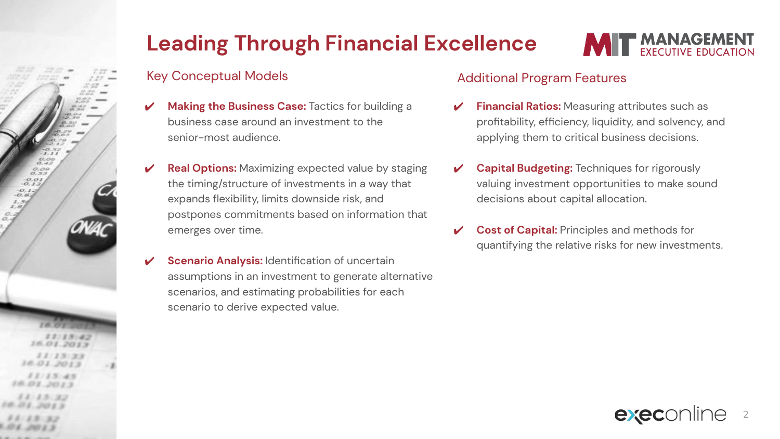

## Key Conceptual Models

- **Making the Business Case: Tactics for building a** business case around an investment to the senior-most audience.
- **Real Options:** Maximizing expected value by staging the timing/structure of investments in a way that expands flexibility, limits downside risk, and postpones commitments based on information that emerges over time.
- **Scenario Analysis: Identification of uncertain** assumptions in an investment to generate alternative scenarios, and estimating probabilities for each scenario to derive expected value.

### Additional Program Features

- **Financial Ratios:** Measuring attributes such as profitability, efficiency, liquidity, and solvency, and applying them to critical business decisions.
- **Capital Budgeting:** Techniques for rigorously valuing investment opportunities to make sound decisions about capital allocation.
- **Cost of Capital: Principles and methods for** quantifying the relative risks for new investments.



**MIT MANAGEMENT**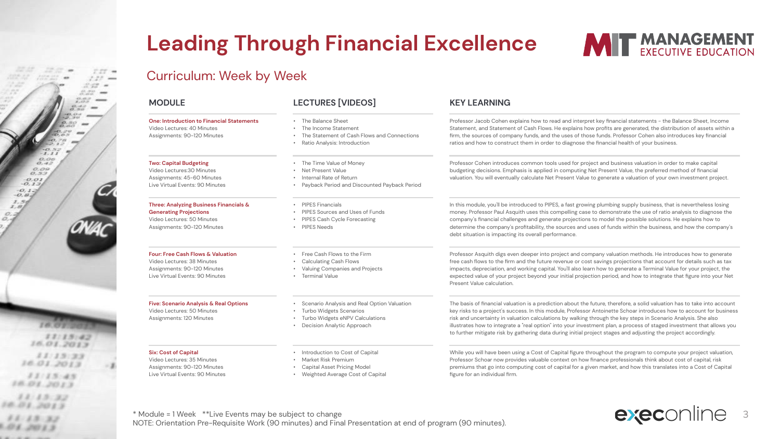



### Curriculum: Week by Week

### **MODULE LECTURES [VIDEOS] KEY LEARNING One: Introduction to Financial Statements** Video Lectures: 40 Minutes Assignments: 90-120 Minutes • The Balance Sheet • The Income Statement • The Statement of Cash Flows and Connections • Ratio Analysis: Introduction Professor Jacob Cohen explains how to read and interpret key financial statements - the Balance Sheet, Income Statement, and Statement of Cash Flows. He explains how profits are generated, the distribution of assets within a firm, the sources of company funds, and the uses of those funds. Professor Cohen also introduces key financial ratios and how to construct them in order to diagnose the financial health of your business. **Two: Capital Budgeting** Video Lectures:30 Minutes Assignments: 45-60 Minutes Live Virtual Events: 90 Minutes • The Time Value of Money • Net Present Value • Internal Rate of Return • Payback Period and Discounted Payback Period Professor Cohen introduces common tools used for project and business valuation in order to make capital budgeting decisions. Emphasis is applied in computing Net Present Value, the preferred method of financial valuation. You will eventually calculate Net Present Value to generate a valuation of your own investment project. **Three: Analyzing Business Financials & Generating Projections** Video Lectures: 50 Minutes Assignments: 90-120 Minutes • PIPES Financials • PIPES Sources and Uses of Funds • PIPES Cash Cycle Forecasting • PIPES Needs In this module, you'll be introduced to PIPES, a fast growing plumbing supply business, that is nevertheless losing money. Professor Paul Asquith uses this compelling case to demonstrate the use of ratio analysis to diagnose the company's financial challenges and generate projections to model the possible solutions. He explains how to determine the company's profitability, the sources and uses of funds within the business, and how the company's debt situation is impacting its overall performance. **Four: Free Cash Flows & Valuation** Video Lectures: 38 Minutes Assignments: 90-120 Minutes Live Virtual Events: 90 Minutes • Free Cash Flows to the Firm • Calculating Cash Flows • Valuing Companies and Projects • Terminal Value Professor Asquith digs even deeper into project and company valuation methods. He introduces how to generate free cash flows to the firm and the future revenue or cost savings projections that account for details such as tax impacts, depreciation, and working capital. You'll also learn how to generate a Terminal Value for your project, the expected value of your project beyond your initial projection period, and how to integrate that figure into your Net Present Value calculation. **Five: Scenario Analysis & Real Options** Video Lectures: 50 Minutes Assignments: 120 Minutes • Scenario Analysis and Real Option Valuation • Turbo Widgets Scenarios • Turbo Widgets eNPV Calculations • Decision Analytic Approach risk and uncertainty in valuation calculations by walking through the key steps in Scenario Analysis. She also to further mitigate risk by gathering data during initial project stages and adjusting the project accordingly. **Six: Cost of Capital** Video Lectures: 35 Minutes Assignments: 90-120 Minutes Live Virtual Events: 90 Minutes • Introduction to Cost of Capital • Market Risk Premium • Capital Asset Pricing Model • Weighted Average Cost of Capital While you will have been using a Cost of Capital figure throughout the program to compute your project valuation, Professor Schoar now provides valuable context on how finance professionals think about cost of capital, risk premiums that go into computing cost of capital for a given market, and how this translates into a Cost of Capital figure for an individual firm.

\* Module = 1 Week \*\*Live Events may be subject to change NOTE: Orientation Pre-Requisite Work (90 minutes) and Final Presentation at end of program (90 minutes). execonline 3

The basis of financial valuation is a prediction about the future, therefore, a solid valuation has to take into account key risks to a project's success. In this module, Professor Antoinette Schoar introduces how to account for business illustrates how to integrate a "real option" into your investment plan, a process of staged investment that allows you